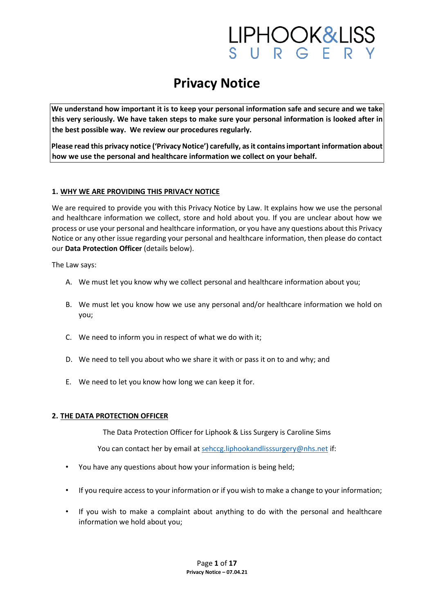### IPHOOK&LISS<br>URGERY

### **Privacy Notice**

**We understand how important it is to keep your personal information safe and secure and we take this very seriously. We have taken steps to make sure your personal information is looked after in the best possible way. We review our procedures regularly.** 

**Please read this privacy notice ('Privacy Notice') carefully, as it contains important information about how we use the personal and healthcare information we collect on your behalf.**

#### **1. WHY WE ARE PROVIDING THIS PRIVACY NOTICE**

We are required to provide you with this Privacy Notice by Law. It explains how we use the personal and healthcare information we collect, store and hold about you. If you are unclear about how we process or use your personal and healthcare information, or you have any questions about this Privacy Notice or any other issue regarding your personal and healthcare information, then please do contact our **Data Protection Officer** (details below).

The Law says:

- A. We must let you know why we collect personal and healthcare information about you;
- B. We must let you know how we use any personal and/or healthcare information we hold on you;
- C. We need to inform you in respect of what we do with it;
- D. We need to tell you about who we share it with or pass it on to and why; and
- E. We need to let you know how long we can keep it for.

#### **2. THE DATA PROTECTION OFFICER**

The Data Protection Officer for Liphook & Liss Surgery is Caroline Sims

You can contact her by email at sehccg.liphookandlisssurgery@nhs.net if:

- You have any questions about how your information is being held;
- If you require access to your information or if you wish to make a change to your information;
- If you wish to make a complaint about anything to do with the personal and healthcare information we hold about you;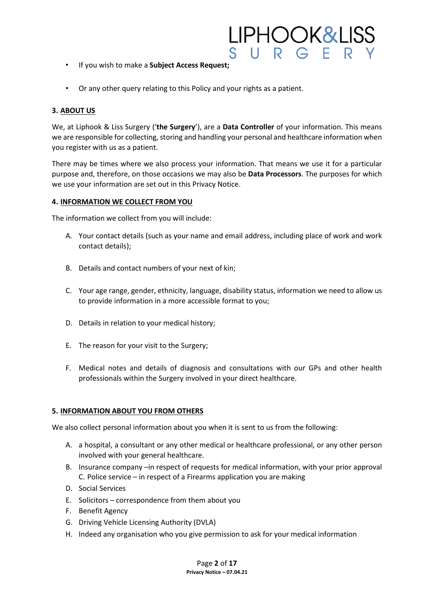- If you wish to make a **Subject Access Request;**
- Or any other query relating to this Policy and your rights as a patient.

#### **3. ABOUT US**

We, at Liphook & Liss Surgery ('**the Surgery**'), are a **Data Controller** of your information. This means we are responsible for collecting, storing and handling your personal and healthcare information when you register with us as a patient.

<u>IPHOOK&LISS</u>

 $IIPG$ 

There may be times where we also process your information. That means we use it for a particular purpose and, therefore, on those occasions we may also be **Data Processors**. The purposes for which we use your information are set out in this Privacy Notice.

#### **4. INFORMATION WE COLLECT FROM YOU**

The information we collect from you will include:

- A. Your contact details (such as your name and email address, including place of work and work contact details);
- B. Details and contact numbers of your next of kin;
- C. Your age range, gender, ethnicity, language, disability status, information we need to allow us to provide information in a more accessible format to you;
- D. Details in relation to your medical history;
- E. The reason for your visit to the Surgery;
- F. Medical notes and details of diagnosis and consultations with our GPs and other health professionals within the Surgery involved in your direct healthcare.

#### **5. INFORMATION ABOUT YOU FROM OTHERS**

We also collect personal information about you when it is sent to us from the following:

- A. a hospital, a consultant or any other medical or healthcare professional, or any other person involved with your general healthcare.
- B. Insurance company –in respect of requests for medical information, with your prior approval C. Police service – in respect of a Firearms application you are making
- D. Social Services
- E. Solicitors correspondence from them about you
- F. Benefit Agency
- G. Driving Vehicle Licensing Authority (DVLA)
- H. Indeed any organisation who you give permission to ask for your medical information

Page **2** of **17 Privacy Notice – 07.04.21**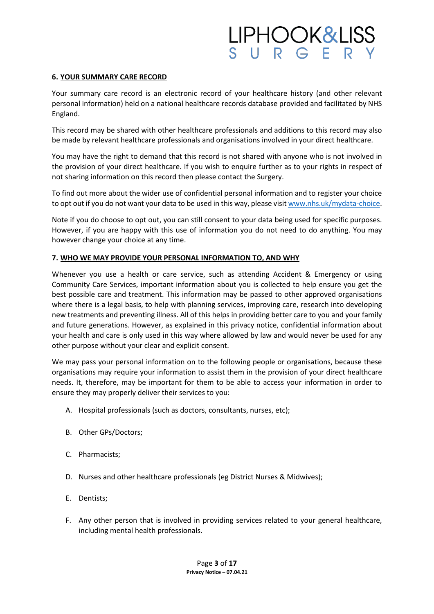### <u>IPHOOK&LISS</u>  $IIPG$

#### **6. YOUR SUMMARY CARE RECORD**

Your summary care record is an electronic record of your healthcare history (and other relevant personal information) held on a national healthcare records database provided and facilitated by NHS England.

This record may be shared with other healthcare professionals and additions to this record may also be made by relevant healthcare professionals and organisations involved in your direct healthcare.

You may have the right to demand that this record is not shared with anyone who is not involved in the provision of your direct healthcare. If you wish to enquire further as to your rights in respect of not sharing information on this record then please contact the Surgery.

To find out more about the wider use of confidential personal information and to register your choice to opt out if you do not want your data to be used in this way, please visi[t www.nhs.uk/mydata-choice.](http://www.nhs.uk/my-data-choice)

Note if you do choose to opt out, you can still consent to your data being used for specific purposes. However, if you are happy with this use of information you do not need to do anything. You may however change your choice at any time.

#### **7. WHO WE MAY PROVIDE YOUR PERSONAL INFORMATION TO, AND WHY**

Whenever you use a health or care service, such as attending Accident & Emergency or using Community Care Services, important information about you is collected to help ensure you get the best possible care and treatment. This information may be passed to other approved organisations where there is a legal basis, to help with planning services, improving care, research into developing new treatments and preventing illness. All of this helps in providing better care to you and your family and future generations. However, as explained in this privacy notice, confidential information about your health and care is only used in this way where allowed by law and would never be used for any other purpose without your clear and explicit consent.

We may pass your personal information on to the following people or organisations, because these organisations may require your information to assist them in the provision of your direct healthcare needs. It, therefore, may be important for them to be able to access your information in order to ensure they may properly deliver their services to you:

- A. Hospital professionals (such as doctors, consultants, nurses, etc);
- B. Other GPs/Doctors;
- C. Pharmacists;
- D. Nurses and other healthcare professionals (eg District Nurses & Midwives);
- E. Dentists;
- F. Any other person that is involved in providing services related to your general healthcare, including mental health professionals.

Page **3** of **17 Privacy Notice – 07.04.21**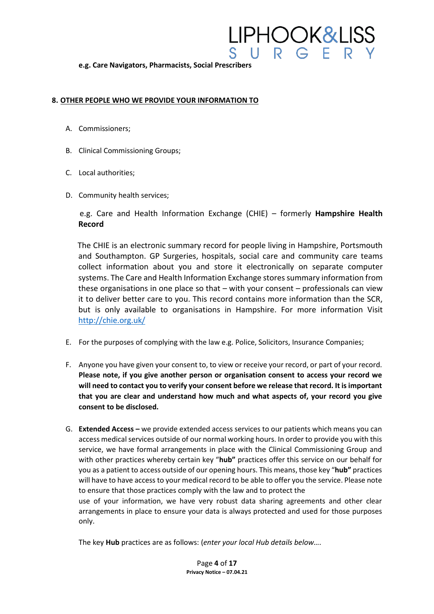#### **e.g. Care Navigators, Pharmacists, Social Prescribers**

#### **8. OTHER PEOPLE WHO WE PROVIDE YOUR INFORMATION TO**

- A. Commissioners;
- B. Clinical Commissioning Groups;
- C. Local authorities;
- D. Community health services;

e.g. Care and Health Information Exchange (CHIE) – formerly **Hampshire Health Record**

<u>IPHOOK&LISS</u>

 $U \ R G$ 

The CHIE is an electronic summary record for people living in Hampshire, Portsmouth and Southampton. GP Surgeries, hospitals, social care and community care teams collect information about you and store it electronically on separate computer systems. The Care and Health Information Exchange stores summary information from these organisations in one place so that – with your consent – professionals can view it to deliver better care to you. This record contains more information than the SCR, but is only available to organisations in Hampshire. For more information Visit <http://chie.org.uk/>

- E. For the purposes of complying with the law e.g. Police, Solicitors, Insurance Companies;
- F. Anyone you have given your consent to, to view or receive your record, or part of your record. **Please note, if you give another person or organisation consent to access your record we will need to contact you to verify your consent before we release that record. It is important that you are clear and understand how much and what aspects of, your record you give consent to be disclosed.**
- G. **Extended Access –** we provide extended access services to our patients which means you can access medical services outside of our normal working hours. In order to provide you with this service, we have formal arrangements in place with the Clinical Commissioning Group and with other practices whereby certain key "**hub"** practices offer this service on our behalf for you as a patient to access outside of our opening hours. This means, those key "**hub"** practices will have to have access to your medical record to be able to offer you the service. Please note to ensure that those practices comply with the law and to protect the use of your information, we have very robust data sharing agreements and other clear

arrangements in place to ensure your data is always protected and used for those purposes only.

The key **Hub** practices are as follows: (*enter your local Hub details below….* 

Page **4** of **17 Privacy Notice – 07.04.21**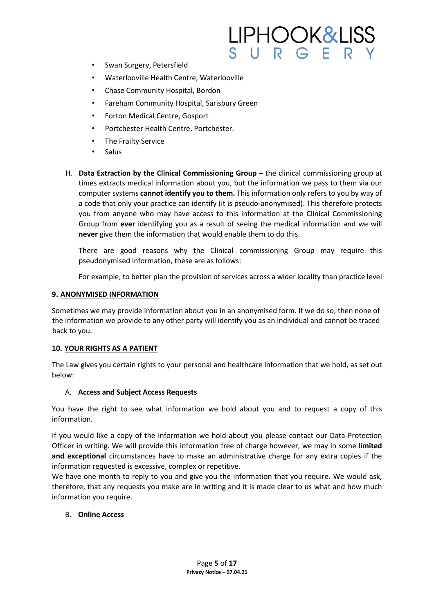- Swan Surgery, Petersfield
- Waterlooville Health Centre, Waterlooville
- Chase Community Hospital, Bordon
- Fareham Community Hospital, Sarisbury Green
- Forton Medical Centre, Gosport
- Portchester Health Centre, Portchester.
- The Frailty Service
- Salus
- H. **Data Extraction by the Clinical Commissioning Group –** the clinical commissioning group at times extracts medical information about you, but the information we pass to them via our computer systems **cannot identify you to them.** This information only refers to you by way of a code that only your practice can identify (it is pseudo-anonymised). This therefore protects you from anyone who may have access to this information at the Clinical Commissioning Group from **ever** identifying you as a result of seeing the medical information and we will **never** give them the information that would enable them to do this.

There are good reasons why the Clinical commissioning Group may require this pseudonymised information, these are as follows:

For example; to better plan the provision of services across a wider locality than practice level

#### **9. ANONYMISED INFORMATION**

Sometimes we may provide information about you in an anonymised form. If we do so, then none of the information we provide to any other party will identify you as an individual and cannot be traced back to you.

#### **10. YOUR RIGHTS AS A PATIENT**

The Law gives you certain rights to your personal and healthcare information that we hold, as set out below:

#### A. **Access and Subject Access Requests**

You have the right to see what information we hold about you and to request a copy of this information.

If you would like a copy of the information we hold about you please contact our Data Protection Officer in writing. We will provide this information free of charge however, we may in some **limited and exceptional** circumstances have to make an administrative charge for any extra copies if the information requested is excessive, complex or repetitive.

We have one month to reply to you and give you the information that you require. We would ask, therefore, that any requests you make are in writing and it is made clear to us what and how much information you require.

#### B. **Online Access**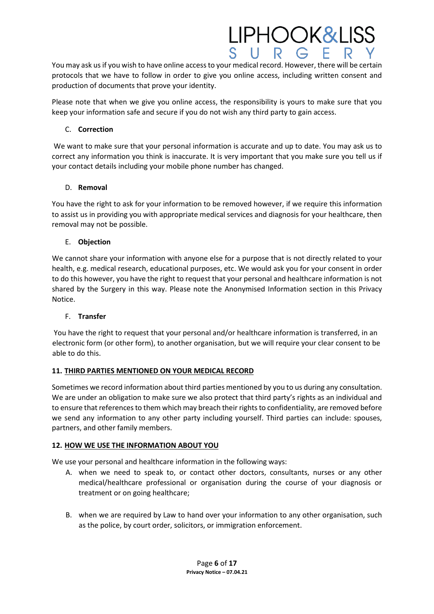You may ask us if you wish to have online access to your medical record. However, there will be certain protocols that we have to follow in order to give you online access, including written consent and production of documents that prove your identity.

**LIPHOOK&LISS** 

Please note that when we give you online access, the responsibility is yours to make sure that you keep your information safe and secure if you do not wish any third party to gain access.

#### C. **Correction**

We want to make sure that your personal information is accurate and up to date. You may ask us to correct any information you think is inaccurate. It is very important that you make sure you tell us if your contact details including your mobile phone number has changed.

#### D. **Removal**

You have the right to ask for your information to be removed however, if we require this information to assist us in providing you with appropriate medical services and diagnosis for your healthcare, then removal may not be possible.

#### E. **Objection**

We cannot share your information with anyone else for a purpose that is not directly related to your health, e.g. medical research, educational purposes, etc. We would ask you for your consent in order to do this however, you have the right to request that your personal and healthcare information is not shared by the Surgery in this way. Please note the Anonymised Information section in this Privacy Notice.

#### F. **Transfer**

You have the right to request that your personal and/or healthcare information is transferred, in an electronic form (or other form), to another organisation, but we will require your clear consent to be able to do this.

#### **11. THIRD PARTIES MENTIONED ON YOUR MEDICAL RECORD**

Sometimes we record information about third parties mentioned by you to us during any consultation. We are under an obligation to make sure we also protect that third party's rights as an individual and to ensure that references to them which may breach their rights to confidentiality, are removed before we send any information to any other party including yourself. Third parties can include: spouses, partners, and other family members.

#### **12. HOW WE USE THE INFORMATION ABOUT YOU**

We use your personal and healthcare information in the following ways:

- A. when we need to speak to, or contact other doctors, consultants, nurses or any other medical/healthcare professional or organisation during the course of your diagnosis or treatment or on going healthcare;
- B. when we are required by Law to hand over your information to any other organisation, such as the police, by court order, solicitors, or immigration enforcement.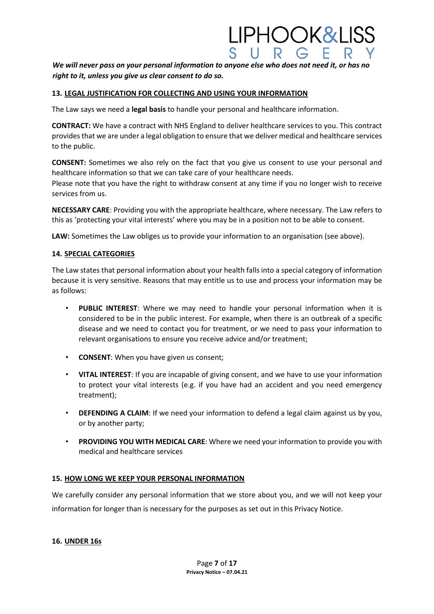#### *We will never pass on your personal information to anyone else who does not need it, or has no right to it, unless you give us clear consent to do so.*

IPHOOK&LISS

#### **13. LEGAL JUSTIFICATION FOR COLLECTING AND USING YOUR INFORMATION**

The Law says we need a **legal basis** to handle your personal and healthcare information.

**CONTRACT:** We have a contract with NHS England to deliver healthcare services to you. This contract provides that we are under a legal obligation to ensure that we deliver medical and healthcare services to the public.

**CONSENT:** Sometimes we also rely on the fact that you give us consent to use your personal and healthcare information so that we can take care of your healthcare needs.

Please note that you have the right to withdraw consent at any time if you no longer wish to receive services from us.

**NECESSARY CARE**: Providing you with the appropriate healthcare, where necessary. The Law refers to this as 'protecting your vital interests' where you may be in a position not to be able to consent.

**LAW:** Sometimes the Law obliges us to provide your information to an organisation (see above).

#### **14. SPECIAL CATEGORIES**

The Law states that personal information about your health falls into a special category of information because it is very sensitive. Reasons that may entitle us to use and process your information may be as follows:

- **PUBLIC INTEREST**: Where we may need to handle your personal information when it is considered to be in the public interest. For example, when there is an outbreak of a specific disease and we need to contact you for treatment, or we need to pass your information to relevant organisations to ensure you receive advice and/or treatment;
- **CONSENT**: When you have given us consent;
- **VITAL INTEREST**: If you are incapable of giving consent, and we have to use your information to protect your vital interests (e.g. if you have had an accident and you need emergency treatment);
- **DEFENDING A CLAIM:** If we need your information to defend a legal claim against us by you, or by another party;
- **PROVIDING YOU WITH MEDICAL CARE**: Where we need your information to provide you with medical and healthcare services

#### **15. HOW LONG WE KEEP YOUR PERSONAL INFORMATION**

We carefully consider any personal information that we store about you, and we will not keep your information for longer than is necessary for the purposes as set out in this Privacy Notice.

#### **16. UNDER 16s**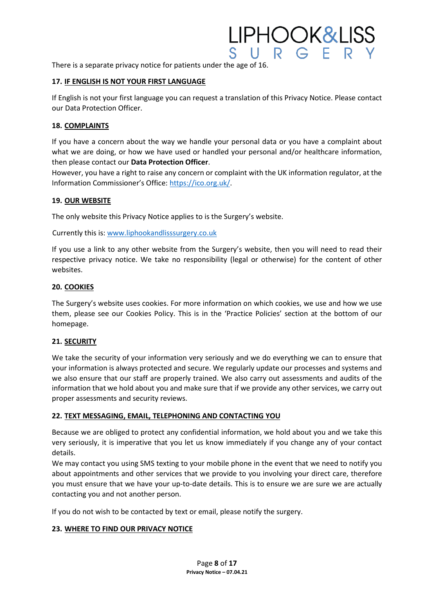There is a separate privacy notice for patients under the age of 16.

#### **17. IF ENGLISH IS NOT YOUR FIRST LANGUAGE**

If English is not your first language you can request a translation of this Privacy Notice. Please contact our Data Protection Officer.

<u>IPHOOK&LISS</u>

#### **18. COMPLAINTS**

If you have a concern about the way we handle your personal data or you have a complaint about what we are doing, or how we have used or handled your personal and/or healthcare information, then please contact our **Data Protection Officer**.

However, you have a right to raise any concern or complaint with the UK information regulator, at the Information Commissioner's Office[: https://ico.org.uk/.](https://ico.org.uk/)

#### **19. OUR WEBSITE**

The only website this Privacy Notice applies to is the Surgery's website.

Currently this is: [www.liphookandlisssurgery.co.uk](http://www.liphookandlisssurgery.co.uk/)

If you use a link to any other website from the Surgery's website, then you will need to read their respective privacy notice. We take no responsibility (legal or otherwise) for the content of other websites.

#### **20. COOKIES**

The Surgery's website uses cookies. For more information on which cookies, we use and how we use them, please see our Cookies Policy. This is in the 'Practice Policies' section at the bottom of our homepage.

#### **21. SECURITY**

We take the security of your information very seriously and we do everything we can to ensure that your information is always protected and secure. We regularly update our processes and systems and we also ensure that our staff are properly trained. We also carry out assessments and audits of the information that we hold about you and make sure that if we provide any other services, we carry out proper assessments and security reviews.

#### **22. TEXT MESSAGING, EMAIL, TELEPHONING AND CONTACTING YOU**

Because we are obliged to protect any confidential information, we hold about you and we take this very seriously, it is imperative that you let us know immediately if you change any of your contact details.

We may contact you using SMS texting to your mobile phone in the event that we need to notify you about appointments and other services that we provide to you involving your direct care, therefore you must ensure that we have your up-to-date details. This is to ensure we are sure we are actually contacting you and not another person.

If you do not wish to be contacted by text or email, please notify the surgery.

#### **23. WHERE TO FIND OUR PRIVACY NOTICE**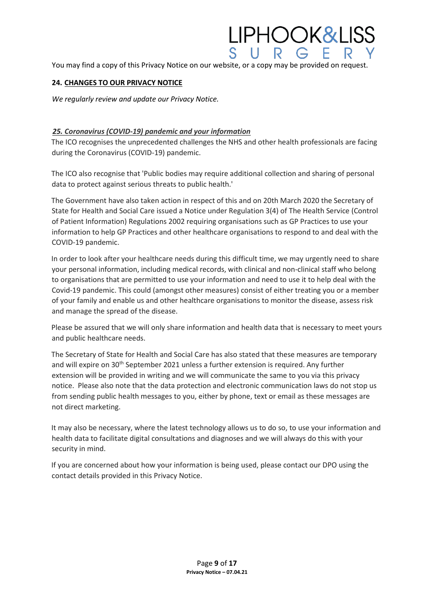You may find a copy of this Privacy Notice on our website, or a copy may be provided on request.

<u>IPHOOK&LISS</u>

#### **24. CHANGES TO OUR PRIVACY NOTICE**

*We regularly review and update our Privacy Notice.* 

#### *25. Coronavirus (COVID-19) pandemic and your information*

The ICO recognises the unprecedented challenges the NHS and other health professionals are facing during the Coronavirus (COVID-19) pandemic.

The ICO also recognise that 'Public bodies may require additional collection and sharing of personal data to protect against serious threats to public health.'

The Government have also taken action in respect of this and on 20th March 2020 the Secretary of State for Health and Social Care issued a Notice under Regulation 3(4) of The Health Service (Control of Patient Information) Regulations 2002 requiring organisations such as GP Practices to use your information to help GP Practices and other healthcare organisations to respond to and deal with the COVID-19 pandemic.

In order to look after your healthcare needs during this difficult time, we may urgently need to share your personal information, including medical records, with clinical and non-clinical staff who belong to organisations that are permitted to use your information and need to use it to help deal with the Covid-19 pandemic. This could (amongst other measures) consist of either treating you or a member of your family and enable us and other healthcare organisations to monitor the disease, assess risk and manage the spread of the disease.

Please be assured that we will only share information and health data that is necessary to meet yours and public healthcare needs.

The Secretary of State for Health and Social Care has also stated that these measures are temporary and will expire on 30<sup>th</sup> September 2021 unless a further extension is required. Any further extension will be provided in writing and we will communicate the same to you via this privacy notice. Please also note that the data protection and electronic communication laws do not stop us from sending public health messages to you, either by phone, text or email as these messages are not direct marketing.

It may also be necessary, where the latest technology allows us to do so, to use your information and health data to facilitate digital consultations and diagnoses and we will always do this with your security in mind.

If you are concerned about how your information is being used, please contact our DPO using the contact details provided in this Privacy Notice.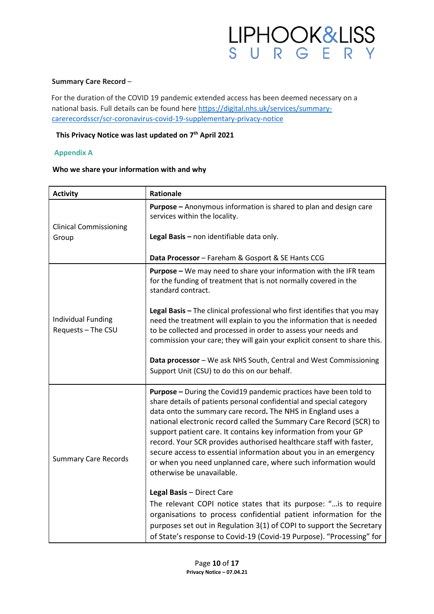

#### **Summary Care Record** –

For the duration of the COVID 19 pandemic extended access has been deemed necessary on a national basis. Full details can be found here [https://digital.nhs.uk/services/summary](https://digital.nhs.uk/services/summary-care-records-scr/scr-coronavirus-covid-19-supplementary-privacy-notice)[carerecordsscr/scr-coronavirus-covid-19-supplementary-privacy-notice](https://digital.nhs.uk/services/summary-care-records-scr/scr-coronavirus-covid-19-supplementary-privacy-notice)

#### **This Privacy Notice was last updated on 7th April 2021**

#### **Appendix A**

#### **Who we share your information with and why**

| <b>Activity</b>                                 | Rationale                                                                                                                                                                                                                                                                                                                                                                                                                                                                                                                                                                                 |
|-------------------------------------------------|-------------------------------------------------------------------------------------------------------------------------------------------------------------------------------------------------------------------------------------------------------------------------------------------------------------------------------------------------------------------------------------------------------------------------------------------------------------------------------------------------------------------------------------------------------------------------------------------|
| <b>Clinical Commissioning</b><br>Group          | <b>Purpose</b> - Anonymous information is shared to plan and design care<br>services within the locality.                                                                                                                                                                                                                                                                                                                                                                                                                                                                                 |
|                                                 | Legal Basis - non identifiable data only.                                                                                                                                                                                                                                                                                                                                                                                                                                                                                                                                                 |
|                                                 | Data Processor - Fareham & Gosport & SE Hants CCG                                                                                                                                                                                                                                                                                                                                                                                                                                                                                                                                         |
| <b>Individual Funding</b><br>Requests - The CSU | Purpose - We may need to share your information with the IFR team<br>for the funding of treatment that is not normally covered in the<br>standard contract.                                                                                                                                                                                                                                                                                                                                                                                                                               |
|                                                 | Legal Basis - The clinical professional who first identifies that you may<br>need the treatment will explain to you the information that is needed<br>to be collected and processed in order to assess your needs and<br>commission your care; they will gain your explicit consent to share this.                                                                                                                                                                                                                                                                                        |
|                                                 | Data processor - We ask NHS South, Central and West Commissioning<br>Support Unit (CSU) to do this on our behalf.                                                                                                                                                                                                                                                                                                                                                                                                                                                                         |
| <b>Summary Care Records</b>                     | Purpose - During the Covid19 pandemic practices have been told to<br>share details of patients personal confidential and special category<br>data onto the summary care record. The NHS in England uses a<br>national electronic record called the Summary Care Record (SCR) to<br>support patient care. It contains key information from your GP<br>record. Your SCR provides authorised healthcare staff with faster,<br>secure access to essential information about you in an emergency<br>or when you need unplanned care, where such information would<br>otherwise be unavailable. |
|                                                 | Legal Basis - Direct Care<br>The relevant COPI notice states that its purpose: " is to require<br>organisations to process confidential patient information for the<br>purposes set out in Regulation 3(1) of COPI to support the Secretary<br>of State's response to Covid-19 (Covid-19 Purpose). "Processing" for                                                                                                                                                                                                                                                                       |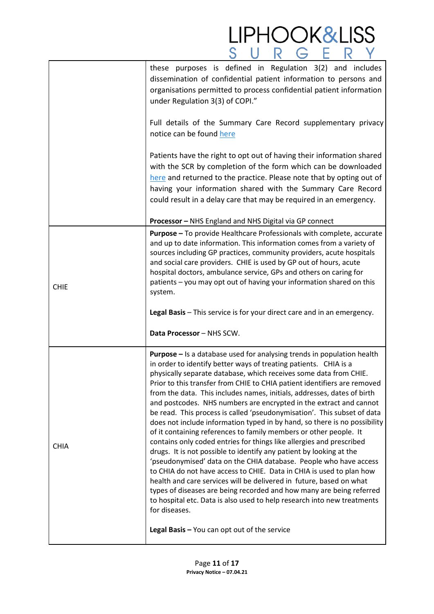|             | <b>LIPHOOK&amp;LISS</b>                                                                                                                                                                                                                                                                                                                                                                                                                                                                                                                                                                                                                                                                                                                                                                                                                                                                                                                                                                                                                                                                                                                                                                                                 |
|-------------|-------------------------------------------------------------------------------------------------------------------------------------------------------------------------------------------------------------------------------------------------------------------------------------------------------------------------------------------------------------------------------------------------------------------------------------------------------------------------------------------------------------------------------------------------------------------------------------------------------------------------------------------------------------------------------------------------------------------------------------------------------------------------------------------------------------------------------------------------------------------------------------------------------------------------------------------------------------------------------------------------------------------------------------------------------------------------------------------------------------------------------------------------------------------------------------------------------------------------|
|             | these purposes is defined in Regulation 3(2) and includes<br>dissemination of confidential patient information to persons and<br>organisations permitted to process confidential patient information<br>under Regulation 3(3) of COPI."                                                                                                                                                                                                                                                                                                                                                                                                                                                                                                                                                                                                                                                                                                                                                                                                                                                                                                                                                                                 |
|             | Full details of the Summary Care Record supplementary privacy<br>notice can be found here                                                                                                                                                                                                                                                                                                                                                                                                                                                                                                                                                                                                                                                                                                                                                                                                                                                                                                                                                                                                                                                                                                                               |
|             | Patients have the right to opt out of having their information shared<br>with the SCR by completion of the form which can be downloaded<br>here and returned to the practice. Please note that by opting out of<br>having your information shared with the Summary Care Record<br>could result in a delay care that may be required in an emergency.                                                                                                                                                                                                                                                                                                                                                                                                                                                                                                                                                                                                                                                                                                                                                                                                                                                                    |
|             | Processor - NHS England and NHS Digital via GP connect                                                                                                                                                                                                                                                                                                                                                                                                                                                                                                                                                                                                                                                                                                                                                                                                                                                                                                                                                                                                                                                                                                                                                                  |
| <b>CHIE</b> | <b>Purpose</b> – To provide Healthcare Professionals with complete, accurate<br>and up to date information. This information comes from a variety of<br>sources including GP practices, community providers, acute hospitals<br>and social care providers. CHIE is used by GP out of hours, acute<br>hospital doctors, ambulance service, GPs and others on caring for<br>patients – you may opt out of having your information shared on this<br>system.<br>Legal Basis - This service is for your direct care and in an emergency.                                                                                                                                                                                                                                                                                                                                                                                                                                                                                                                                                                                                                                                                                    |
|             | Data Processor - NHS SCW.                                                                                                                                                                                                                                                                                                                                                                                                                                                                                                                                                                                                                                                                                                                                                                                                                                                                                                                                                                                                                                                                                                                                                                                               |
| <b>CHIA</b> | <b>Purpose</b> – Is a database used for analysing trends in population health<br>in order to identify better ways of treating patients. CHIA is a<br>physically separate database, which receives some data from CHIE.<br>Prior to this transfer from CHIE to CHIA patient identifiers are removed<br>from the data. This includes names, initials, addresses, dates of birth<br>and postcodes. NHS numbers are encrypted in the extract and cannot<br>be read. This process is called 'pseudonymisation'. This subset of data<br>does not include information typed in by hand, so there is no possibility<br>of it containing references to family members or other people. It<br>contains only coded entries for things like allergies and prescribed<br>drugs. It is not possible to identify any patient by looking at the<br>'pseudonymised' data on the CHIA database. People who have access<br>to CHIA do not have access to CHIE. Data in CHIA is used to plan how<br>health and care services will be delivered in future, based on what<br>types of diseases are being recorded and how many are being referred<br>to hospital etc. Data is also used to help research into new treatments<br>for diseases. |
|             | Legal Basis - You can opt out of the service                                                                                                                                                                                                                                                                                                                                                                                                                                                                                                                                                                                                                                                                                                                                                                                                                                                                                                                                                                                                                                                                                                                                                                            |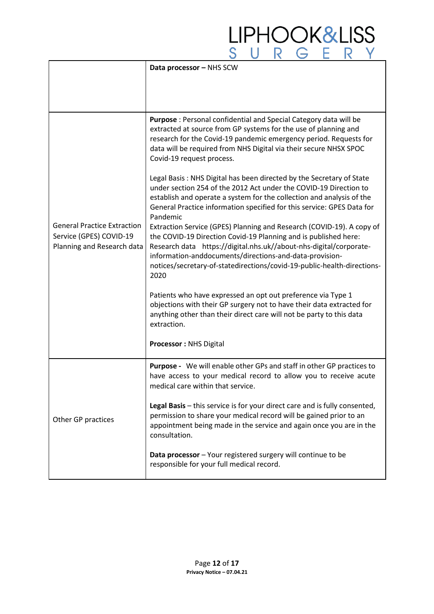|                                                                                             | Data processor - NHS SCW                                                                                                                                                                                                                                                                                                                                     |
|---------------------------------------------------------------------------------------------|--------------------------------------------------------------------------------------------------------------------------------------------------------------------------------------------------------------------------------------------------------------------------------------------------------------------------------------------------------------|
|                                                                                             |                                                                                                                                                                                                                                                                                                                                                              |
| <b>General Practice Extraction</b><br>Service (GPES) COVID-19<br>Planning and Research data | Purpose : Personal confidential and Special Category data will be<br>extracted at source from GP systems for the use of planning and<br>research for the Covid-19 pandemic emergency period. Requests for<br>data will be required from NHS Digital via their secure NHSX SPOC<br>Covid-19 request process.                                                  |
|                                                                                             | Legal Basis: NHS Digital has been directed by the Secretary of State<br>under section 254 of the 2012 Act under the COVID-19 Direction to<br>establish and operate a system for the collection and analysis of the<br>General Practice information specified for this service: GPES Data for<br>Pandemic                                                     |
|                                                                                             | Extraction Service (GPES) Planning and Research (COVID-19). A copy of<br>the COVID-19 Direction Covid-19 Planning and is published here:<br>Research data https://digital.nhs.uk//about-nhs-digital/corporate-<br>information-anddocuments/directions-and-data-provision-<br>notices/secretary-of-statedirections/covid-19-public-health-directions-<br>2020 |
|                                                                                             | Patients who have expressed an opt out preference via Type 1<br>objections with their GP surgery not to have their data extracted for<br>anything other than their direct care will not be party to this data<br>extraction.                                                                                                                                 |
|                                                                                             | <b>Processor: NHS Digital</b>                                                                                                                                                                                                                                                                                                                                |
| Other GP practices                                                                          | Purpose - We will enable other GPs and staff in other GP practices to<br>have access to your medical record to allow you to receive acute<br>medical care within that service                                                                                                                                                                                |
|                                                                                             | Legal Basis - this service is for your direct care and is fully consented,<br>permission to share your medical record will be gained prior to an<br>appointment being made in the service and again once you are in the<br>consultation.                                                                                                                     |
|                                                                                             | Data processor - Your registered surgery will continue to be<br>responsible for your full medical record.                                                                                                                                                                                                                                                    |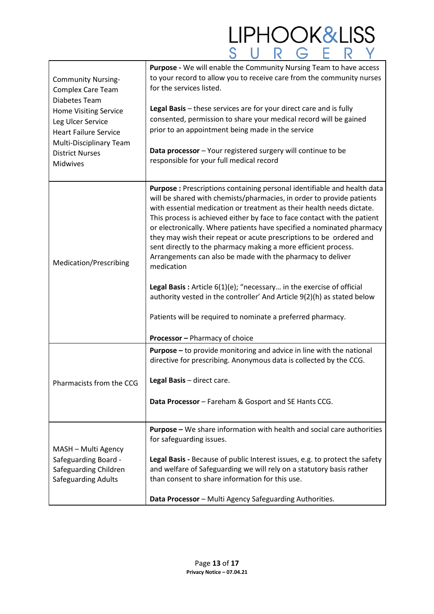| <b>Community Nursing-</b><br><b>Complex Care Team</b><br>Diabetes Team<br><b>Home Visiting Service</b><br>Leg Ulcer Service<br><b>Heart Failure Service</b><br>Multi-Disciplinary Team<br><b>District Nurses</b><br>Midwives | Purpose - We will enable the Community Nursing Team to have access<br>to your record to allow you to receive care from the community nurses<br>for the services listed.<br>Legal Basis - these services are for your direct care and is fully<br>consented, permission to share your medical record will be gained<br>prior to an appointment being made in the service<br>Data processor - Your registered surgery will continue to be<br>responsible for your full medical record                                                                                                                                                                                                                                                                                                                                                                             |
|------------------------------------------------------------------------------------------------------------------------------------------------------------------------------------------------------------------------------|-----------------------------------------------------------------------------------------------------------------------------------------------------------------------------------------------------------------------------------------------------------------------------------------------------------------------------------------------------------------------------------------------------------------------------------------------------------------------------------------------------------------------------------------------------------------------------------------------------------------------------------------------------------------------------------------------------------------------------------------------------------------------------------------------------------------------------------------------------------------|
| Medication/Prescribing                                                                                                                                                                                                       | Purpose : Prescriptions containing personal identifiable and health data<br>will be shared with chemists/pharmacies, in order to provide patients<br>with essential medication or treatment as their health needs dictate.<br>This process is achieved either by face to face contact with the patient<br>or electronically. Where patients have specified a nominated pharmacy<br>they may wish their repeat or acute prescriptions to be ordered and<br>sent directly to the pharmacy making a more efficient process.<br>Arrangements can also be made with the pharmacy to deliver<br>medication<br>Legal Basis: Article 6(1)(e); "necessary in the exercise of official<br>authority vested in the controller' And Article 9(2)(h) as stated below<br>Patients will be required to nominate a preferred pharmacy.<br><b>Processor</b> - Pharmacy of choice |
| Pharmacists from the CCG                                                                                                                                                                                                     | <b>Purpose</b> – to provide monitoring and advice in line with the national<br>directive for prescribing. Anonymous data is collected by the CCG.<br>Legal Basis - direct care.<br>Data Processor - Fareham & Gosport and SE Hants CCG.                                                                                                                                                                                                                                                                                                                                                                                                                                                                                                                                                                                                                         |
| MASH - Multi Agency<br>Safeguarding Board -<br>Safeguarding Children<br><b>Safeguarding Adults</b>                                                                                                                           | Purpose - We share information with health and social care authorities<br>for safeguarding issues.<br>Legal Basis - Because of public Interest issues, e.g. to protect the safety<br>and welfare of Safeguarding we will rely on a statutory basis rather<br>than consent to share information for this use.<br>Data Processor - Multi Agency Safeguarding Authorities.                                                                                                                                                                                                                                                                                                                                                                                                                                                                                         |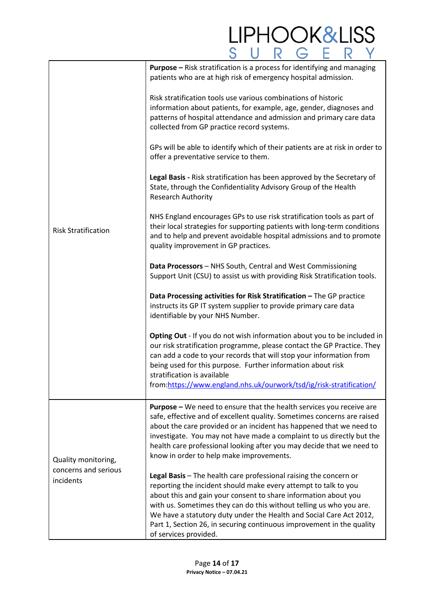#### LIPHOOK&LISS **Purpose –** Risk stratification is a process for identifying and managing patients who are at high risk of emergency hospital admission. Risk stratification tools use various combinations of historic information about patients, for example, age, gender, diagnoses and patterns of hospital attendance and admission and primary care data collected from GP practice record systems. GPs will be able to identify which of their patients are at risk in order to offer a preventative service to them. **Legal Basis -** Risk stratification has been approved by the Secretary of State, through the Confidentiality Advisory Group of the Health Research Authority NHS England encourages GPs to use risk stratification tools as part of their local strategies for supporting patients with long-term conditions Risk Stratification and to help and prevent avoidable hospital admissions and to promote quality improvement in GP practices. **Data Processors** – NHS South, Central and West Commissioning Support Unit (CSU) to assist us with providing Risk Stratification tools. **Data Processing activities for Risk Stratification –** The GP practice instructs its GP IT system supplier to provide primary care data identifiable by your NHS Number. **Opting Out** - If you do not wish information about you to be included in our risk stratification programme, please contact the GP Practice. They can add a code to your records that will stop your information from being used for this purpose. Further information about risk stratification is available from[:https://www.england.nhs.uk/ourwork/tsd/ig/risk-stratification/](https://www.england.nhs.uk/ourwork/tsd/ig/risk-stratification/) **Purpose –** We need to ensure that the health services you receive are safe, effective and of excellent quality. Sometimes concerns are raised about the care provided or an incident has happened that we need to investigate. You may not have made a complaint to us directly but the health care professional looking after you may decide that we need to know in order to help make improvements. Quality monitoring, concerns and serious **Legal Basis** – The health care professional raising the concern or incidents reporting the incident should make every attempt to talk to you about this and gain your consent to share information about you with us. Sometimes they can do this without telling us who you are. We have a statutory duty under the Health and Social Care Act 2012, Part 1, Section 26, in securing continuous improvement in the quality of services provided.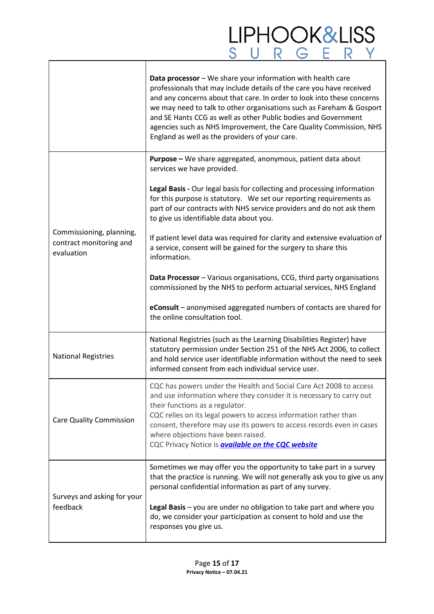# LIPHOOK&LISS<br>SURGERY

|                                                                   | Data processor - We share your information with health care<br>professionals that may include details of the care you have received<br>and any concerns about that care. In order to look into these concerns<br>we may need to talk to other organisations such as Fareham & Gosport<br>and SE Hants CCG as well as other Public bodies and Government<br>agencies such as NHS Improvement, the Care Quality Commission, NHS<br>England as well as the providers of your care. |
|-------------------------------------------------------------------|---------------------------------------------------------------------------------------------------------------------------------------------------------------------------------------------------------------------------------------------------------------------------------------------------------------------------------------------------------------------------------------------------------------------------------------------------------------------------------|
| Commissioning, planning,<br>contract monitoring and<br>evaluation | Purpose - We share aggregated, anonymous, patient data about<br>services we have provided.                                                                                                                                                                                                                                                                                                                                                                                      |
|                                                                   | Legal Basis - Our legal basis for collecting and processing information<br>for this purpose is statutory. We set our reporting requirements as<br>part of our contracts with NHS service providers and do not ask them<br>to give us identifiable data about you.                                                                                                                                                                                                               |
|                                                                   | If patient level data was required for clarity and extensive evaluation of<br>a service, consent will be gained for the surgery to share this<br>information.                                                                                                                                                                                                                                                                                                                   |
|                                                                   | Data Processor - Various organisations, CCG, third party organisations<br>commissioned by the NHS to perform actuarial services, NHS England                                                                                                                                                                                                                                                                                                                                    |
|                                                                   | eConsult - anonymised aggregated numbers of contacts are shared for<br>the online consultation tool.                                                                                                                                                                                                                                                                                                                                                                            |
| <b>National Registries</b>                                        | National Registries (such as the Learning Disabilities Register) have<br>statutory permission under Section 251 of the NHS Act 2006, to collect<br>and hold service user identifiable information without the need to seek<br>informed consent from each individual service user.                                                                                                                                                                                               |
| <b>Care Quality Commission</b>                                    | CQC has powers under the Health and Social Care Act 2008 to access<br>and use information where they consider it is necessary to carry out<br>their functions as a regulator.<br>CQC relies on its legal powers to access information rather than<br>consent, therefore may use its powers to access records even in cases<br>where objections have been raised.<br>CQC Privacy Notice is <b>available on the CQC website</b>                                                   |
| Surveys and asking for your<br>feedback                           | Sometimes we may offer you the opportunity to take part in a survey<br>that the practice is running. We will not generally ask you to give us any<br>personal confidential information as part of any survey.                                                                                                                                                                                                                                                                   |
|                                                                   | Legal Basis - you are under no obligation to take part and where you<br>do, we consider your participation as consent to hold and use the<br>responses you give us.                                                                                                                                                                                                                                                                                                             |

 $\Gamma$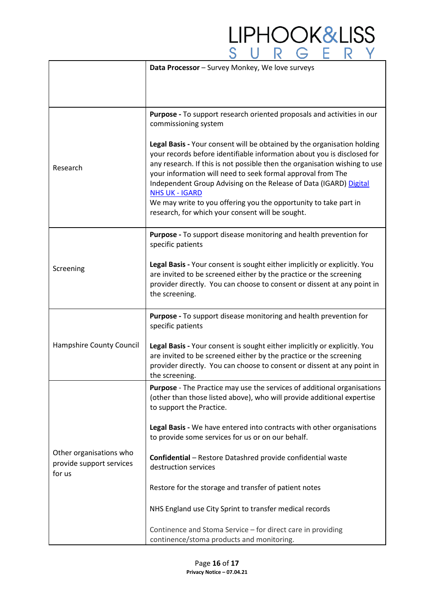|                                                               | Data Processor - Survey Monkey, We love surveys                                                                                                                                                                                                                                                                                                                                                                                                                   |
|---------------------------------------------------------------|-------------------------------------------------------------------------------------------------------------------------------------------------------------------------------------------------------------------------------------------------------------------------------------------------------------------------------------------------------------------------------------------------------------------------------------------------------------------|
|                                                               |                                                                                                                                                                                                                                                                                                                                                                                                                                                                   |
|                                                               |                                                                                                                                                                                                                                                                                                                                                                                                                                                                   |
|                                                               | Purpose - To support research oriented proposals and activities in our<br>commissioning system                                                                                                                                                                                                                                                                                                                                                                    |
| Research                                                      | Legal Basis - Your consent will be obtained by the organisation holding<br>your records before identifiable information about you is disclosed for<br>any research. If this is not possible then the organisation wishing to use<br>your information will need to seek formal approval from The<br>Independent Group Advising on the Release of Data (IGARD) Digital<br><b>NHS UK - IGARD</b><br>We may write to you offering you the opportunity to take part in |
|                                                               | research, for which your consent will be sought.                                                                                                                                                                                                                                                                                                                                                                                                                  |
| Screening                                                     | Purpose - To support disease monitoring and health prevention for<br>specific patients                                                                                                                                                                                                                                                                                                                                                                            |
|                                                               | Legal Basis - Your consent is sought either implicitly or explicitly. You<br>are invited to be screened either by the practice or the screening<br>provider directly. You can choose to consent or dissent at any point in<br>the screening.                                                                                                                                                                                                                      |
|                                                               | Purpose - To support disease monitoring and health prevention for<br>specific patients                                                                                                                                                                                                                                                                                                                                                                            |
| Hampshire County Council                                      | Legal Basis - Your consent is sought either implicitly or explicitly. You<br>are invited to be screened either by the practice or the screening<br>provider directly. You can choose to consent or dissent at any point in<br>the screening.                                                                                                                                                                                                                      |
| Other organisations who<br>provide support services<br>for us | <b>Purpose</b> - The Practice may use the services of additional organisations<br>(other than those listed above), who will provide additional expertise<br>to support the Practice.                                                                                                                                                                                                                                                                              |
|                                                               | Legal Basis - We have entered into contracts with other organisations<br>to provide some services for us or on our behalf.                                                                                                                                                                                                                                                                                                                                        |
|                                                               | Confidential - Restore Datashred provide confidential waste<br>destruction services                                                                                                                                                                                                                                                                                                                                                                               |
|                                                               | Restore for the storage and transfer of patient notes                                                                                                                                                                                                                                                                                                                                                                                                             |
|                                                               | NHS England use City Sprint to transfer medical records                                                                                                                                                                                                                                                                                                                                                                                                           |
|                                                               | Continence and Stoma Service - for direct care in providing<br>continence/stoma products and monitoring.                                                                                                                                                                                                                                                                                                                                                          |